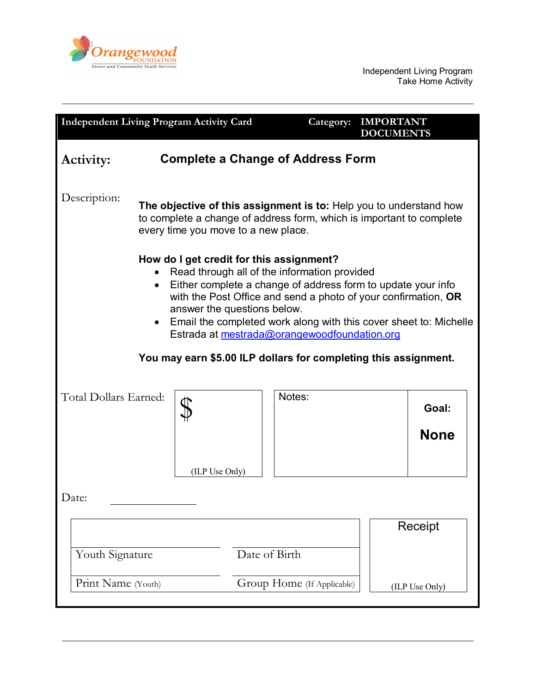

Independent Living Program Take Home Activity

| <b>Independent Living Program Activity Card</b>                                                                                                                                                                                                                                                                                                                                                                                                   |  |               | Category:                  | <b>IMPORTANT</b><br><b>DOCUMENTS</b> |                           |
|---------------------------------------------------------------------------------------------------------------------------------------------------------------------------------------------------------------------------------------------------------------------------------------------------------------------------------------------------------------------------------------------------------------------------------------------------|--|---------------|----------------------------|--------------------------------------|---------------------------|
| <b>Complete a Change of Address Form</b><br>Activity:                                                                                                                                                                                                                                                                                                                                                                                             |  |               |                            |                                      |                           |
| Description:<br>The objective of this assignment is to: Help you to understand how<br>to complete a change of address form, which is important to complete<br>every time you move to a new place.                                                                                                                                                                                                                                                 |  |               |                            |                                      |                           |
| How do I get credit for this assignment?<br>Read through all of the information provided<br>Either complete a change of address form to update your info<br>with the Post Office and send a photo of your confirmation, OR<br>answer the questions below.<br>Email the completed work along with this cover sheet to: Michelle<br>Estrada at mestrada@orangewoodfoundation.org<br>You may earn \$5.00 ILP dollars for completing this assignment. |  |               |                            |                                      |                           |
| Total Dollars Earned:<br>(ILP Use Only)                                                                                                                                                                                                                                                                                                                                                                                                           |  |               | Notes:                     |                                      | Goal:<br><b>None</b>      |
| Date:<br>Youth Signature<br>Print Name (Youth)                                                                                                                                                                                                                                                                                                                                                                                                    |  | Date of Birth | Group Home (If Applicable) |                                      | Receipt<br>(ILP Use Only) |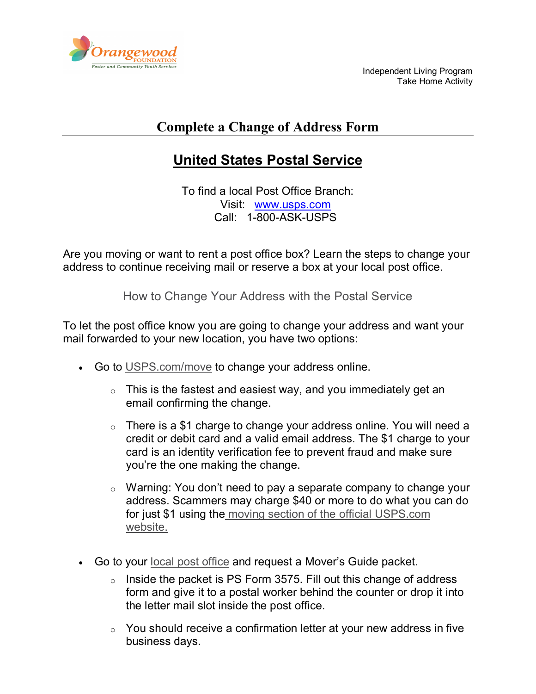

Independent Living Program Take Home Activity

## **Complete a Change of Address Form**

## **United States Postal Service**

To find a local Post Office Branch: Visit: [www.usps.com](http://www.usps.com/) Call: 1-800-ASK-USPS

Are you moving or want to rent a post office box? Learn the steps to change your address to continue receiving mail or reserve a box at your local post office.

How to Change Your Address with the Postal Service

To let the post office know you are going to change your address and want your mail forwarded to your new location, you have two options:

- Go to [USPS.com/move](https://moversguide.usps.com/) to change your address online.
	- $\circ$  This is the fastest and easiest way, and you immediately get an email confirming the change.
	- $\circ$  There is a \$1 charge to change your address online. You will need a credit or debit card and a valid email address. The \$1 charge to your card is an identity verification fee to prevent fraud and make sure you're the one making the change.
	- o Warning: You don't need to pay a separate company to change your address. Scammers may charge \$40 or more to do what you can do for just \$1 using the [moving section of the official USPS.com](https://moversguide.usps.com/mgo/whos-moving)  [website.](https://moversguide.usps.com/mgo/whos-moving)
- Go to your [local post office](https://tools.usps.com/go/POLocatorAction_input) and request a Mover's Guide packet.
	- $\circ$  Inside the packet is PS Form 3575. Fill out this change of address form and give it to a postal worker behind the counter or drop it into the letter mail slot inside the post office.
	- $\circ$  You should receive a confirmation letter at your new address in five business days.